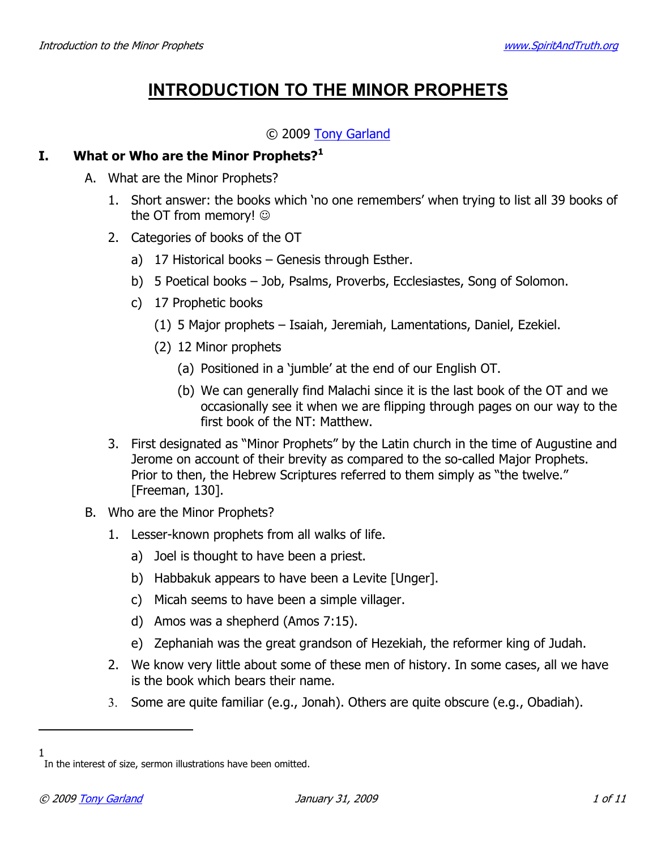# **INTRODUCTION TO THE MINOR PROPHETS**

## © 2009 Tony Garland

#### What or Who are the Minor Prophets?<sup>1</sup> L.

- A. What are the Minor Prophets?
	- 1. Short answer: the books which 'no one remembers' when trying to list all 39 books of the OT from memory! ©
	- 2. Categories of books of the OT
		- a) 17 Historical books Genesis through Esther.
		- b) 5 Poetical books Job, Psalms, Proverbs, Ecclesiastes, Song of Solomon.
		- c) 17 Prophetic books
			- (1) 5 Major prophets Isaiah, Jeremiah, Lamentations, Daniel, Ezekiel.
			- (2) 12 Minor prophets
				- (a) Positioned in a 'jumble' at the end of our English OT.
				- (b) We can generally find Malachi since it is the last book of the OT and we occasionally see it when we are flipping through pages on our way to the first book of the NT: Matthew.
	- 3. First designated as "Minor Prophets" by the Latin church in the time of Augustine and Jerome on account of their brevity as compared to the so-called Major Prophets. Prior to then, the Hebrew Scriptures referred to them simply as "the twelve." [Freeman, 130].
- B. Who are the Minor Prophets?
	- 1. Lesser-known prophets from all walks of life.
		- a) Joel is thought to have been a priest.
		- b) Habbakuk appears to have been a Levite [Unger].
		- c) Micah seems to have been a simple villager.
		- d) Amos was a shepherd (Amos 7:15).
		- e) Zephaniah was the great grandson of Hezekiah, the reformer king of Judah.
	- 2. We know very little about some of these men of history. In some cases, all we have is the book which bears their name.
	- 3. Some are quite familiar (e.g., Jonah). Others are quite obscure (e.g., Obadiah).

 $\mathbf{1}$ In the interest of size, sermon illustrations have been omitted.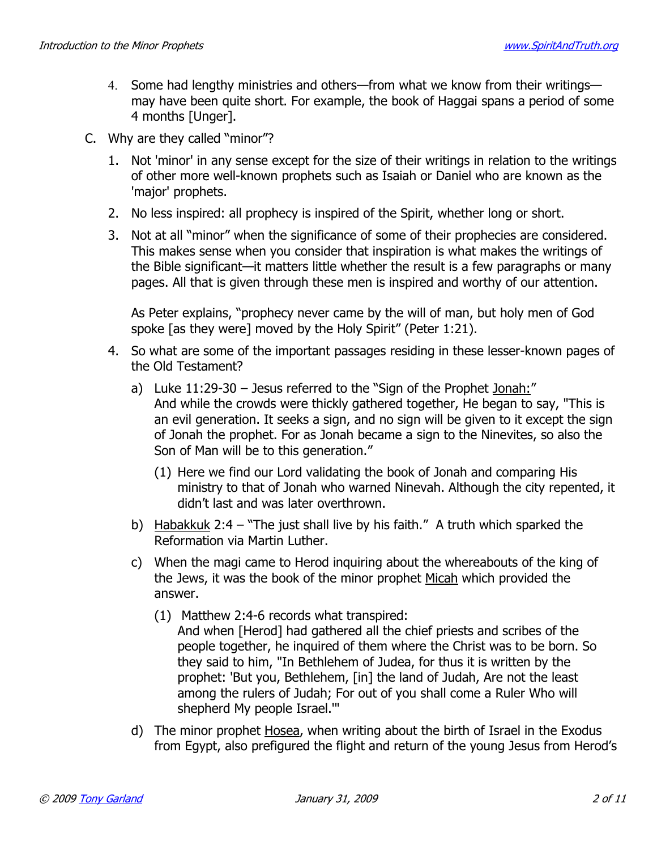- 4. Some had lengthy ministries and others—from what we know from their writings may have been quite short. For example, the book of Haggai spans a period of some 4 months [Unger].
- C. Why are they called "minor"?
	- 1. Not 'minor' in any sense except for the size of their writings in relation to the writings of other more well-known prophets such as Isaiah or Daniel who are known as the 'major' prophets.
	- 2. No less inspired: all prophecy is inspired of the Spirit, whether long or short.
	- 3. Not at all "minor" when the significance of some of their prophecies are considered. This makes sense when you consider that inspiration is what makes the writings of the Bible significant—it matters little whether the result is a few paragraphs or many pages. All that is given through these men is inspired and worthy of our attention.

As Peter explains, "prophecy never came by the will of man, but holy men of God spoke [as they were] moved by the Holy Spirit" (Peter 1:21).

- 4. So what are some of the important passages residing in these lesser-known pages of the Old Testament?
	- a) Luke 11:29-30 Jesus referred to the "Sign of the Prophet Jonah:" And while the crowds were thickly gathered together, He began to say, "This is an evil generation. It seeks a sign, and no sign will be given to it except the sign of Jonah the prophet. For as Jonah became a sign to the Ninevites, so also the Son of Man will be to this generation."
		- (1) Here we find our Lord validating the book of Jonah and comparing His ministry to that of Jonah who warned Ninevah. Although the city repented, it didn't last and was later overthrown.
	- b) Habakkuk 2:4 "The just shall live by his faith." A truth which sparked the Reformation via Martin Luther.
	- c) When the magi came to Herod inquiring about the whereabouts of the king of the Jews, it was the book of the minor prophet Micah which provided the answer.
		- (1) Matthew 2:4-6 records what transpired:
			- And when [Herod] had gathered all the chief priests and scribes of the people together, he inquired of them where the Christ was to be born. So they said to him, "In Bethlehem of Judea, for thus it is written by the prophet: 'But you, Bethlehem, [in] the land of Judah, Are not the least among the rulers of Judah; For out of you shall come a Ruler Who will shepherd My people Israel."'
	- d) The minor prophet Hosea, when writing about the birth of Israel in the Exodus from Egypt, also prefigured the flight and return of the young Jesus from Herod's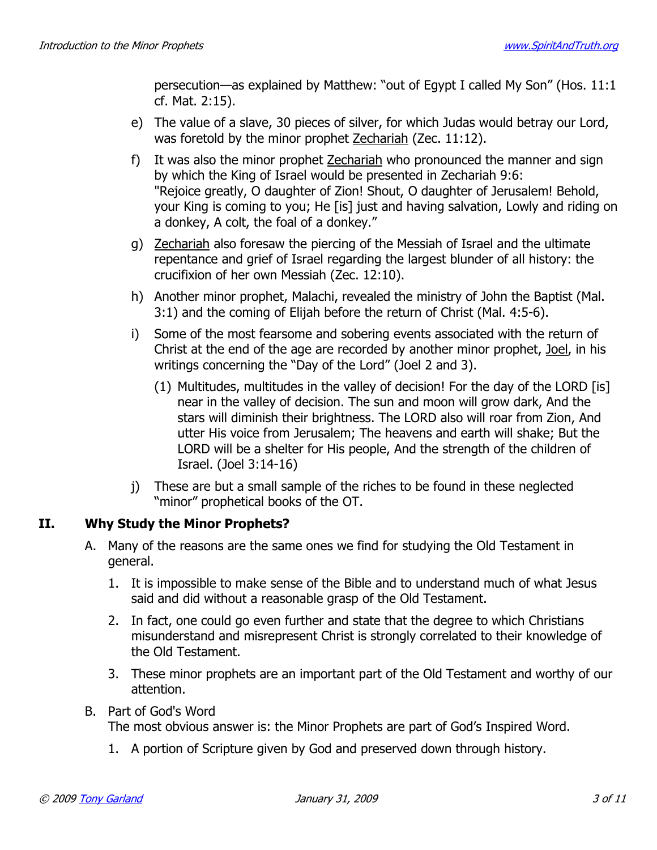persecution—as explained by Matthew: "out of Egypt I called My Son" (Hos. 11:1 cf. Mat. 2:15).

- e) The value of a slave, 30 pieces of silver, for which Judas would betray our Lord, was foretold by the minor prophet Zechariah (Zec. 11:12).
- It was also the minor prophet Zechariah who pronounced the manner and sign  $f$ ) by which the King of Israel would be presented in Zechariah 9:6: "Rejoice greatly, O daughter of Zion! Shout, O daughter of Jerusalem! Behold, your King is coming to you; He [is] just and having salvation, Lowly and riding on a donkey, A colt, the foal of a donkey."
- g) Zechariah also foresaw the piercing of the Messiah of Israel and the ultimate repentance and grief of Israel regarding the largest blunder of all history: the crucifixion of her own Messiah (Zec. 12:10).
- h) Another minor prophet, Malachi, revealed the ministry of John the Baptist (Mal. 3:1) and the coming of Elijah before the return of Christ (Mal. 4:5-6).
- Some of the most fearsome and sobering events associated with the return of i) Christ at the end of the age are recorded by another minor prophet, Joel, in his writings concerning the "Day of the Lord" (Joel 2 and 3).
	- (1) Multitudes, multitudes in the valley of decision! For the day of the LORD [is] near in the valley of decision. The sun and moon will grow dark, And the stars will diminish their brightness. The LORD also will roar from Zion, And utter His voice from Jerusalem; The heavens and earth will shake; But the LORD will be a shelter for His people, And the strength of the children of Israel. (Joel 3:14-16)
- i) These are but a small sample of the riches to be found in these neglected "minor" prophetical books of the OT.

### II. **Why Study the Minor Prophets?**

- A. Many of the reasons are the same ones we find for studying the Old Testament in general.
	- 1. It is impossible to make sense of the Bible and to understand much of what Jesus said and did without a reasonable grasp of the Old Testament.
	- 2. In fact, one could go even further and state that the degree to which Christians misunderstand and misrepresent Christ is strongly correlated to their knowledge of the Old Testament.
	- 3. These minor prophets are an important part of the Old Testament and worthy of our attention.
- B. Part of God's Word

The most obvious answer is: the Minor Prophets are part of God's Inspired Word.

1. A portion of Scripture given by God and preserved down through history.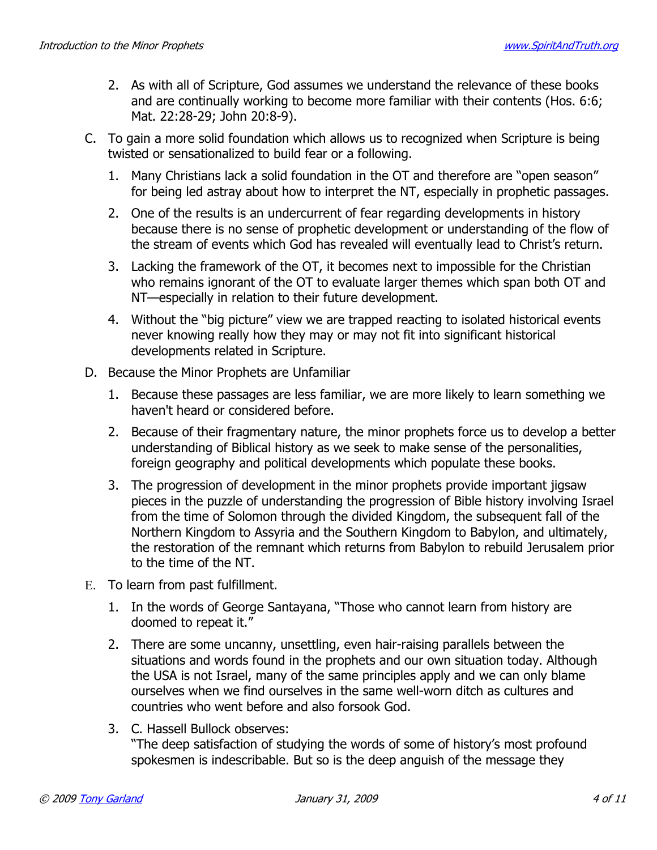- 2. As with all of Scripture, God assumes we understand the relevance of these books and are continually working to become more familiar with their contents (Hos. 6:6; Mat. 22:28-29; John 20:8-9).
- C. To gain a more solid foundation which allows us to recognized when Scripture is being twisted or sensationalized to build fear or a following.
	- 1. Many Christians lack a solid foundation in the OT and therefore are "open season" for being led astray about how to interpret the NT, especially in prophetic passages.
	- 2. One of the results is an undercurrent of fear regarding developments in history because there is no sense of prophetic development or understanding of the flow of the stream of events which God has revealed will eventually lead to Christ's return.
	- 3. Lacking the framework of the OT, it becomes next to impossible for the Christian who remains ignorant of the OT to evaluate larger themes which span both OT and NT-especially in relation to their future development.
	- 4. Without the "big picture" view we are trapped reacting to isolated historical events never knowing really how they may or may not fit into significant historical developments related in Scripture.
- D. Because the Minor Prophets are Unfamiliar
	- 1. Because these passages are less familiar, we are more likely to learn something we haven't heard or considered before.
	- 2. Because of their fragmentary nature, the minor prophets force us to develop a better understanding of Biblical history as we seek to make sense of the personalities, foreign geography and political developments which populate these books.
	- 3. The progression of development in the minor prophets provide important jigsaw pieces in the puzzle of understanding the progression of Bible history involving Israel from the time of Solomon through the divided Kingdom, the subsequent fall of the Northern Kingdom to Assyria and the Southern Kingdom to Babylon, and ultimately, the restoration of the remnant which returns from Babylon to rebuild Jerusalem prior to the time of the NT.
- E. To learn from past fulfillment.
	- 1. In the words of George Santayana, "Those who cannot learn from history are doomed to repeat it."
	- 2. There are some uncanny, unsettling, even hair-raising parallels between the situations and words found in the prophets and our own situation today. Although the USA is not Israel, many of the same principles apply and we can only blame ourselves when we find ourselves in the same well-worn ditch as cultures and countries who went before and also forsook God.
	- 3. C. Hassell Bullock observes: "The deep satisfaction of studying the words of some of history's most profound spokesmen is indescribable. But so is the deep anguish of the message they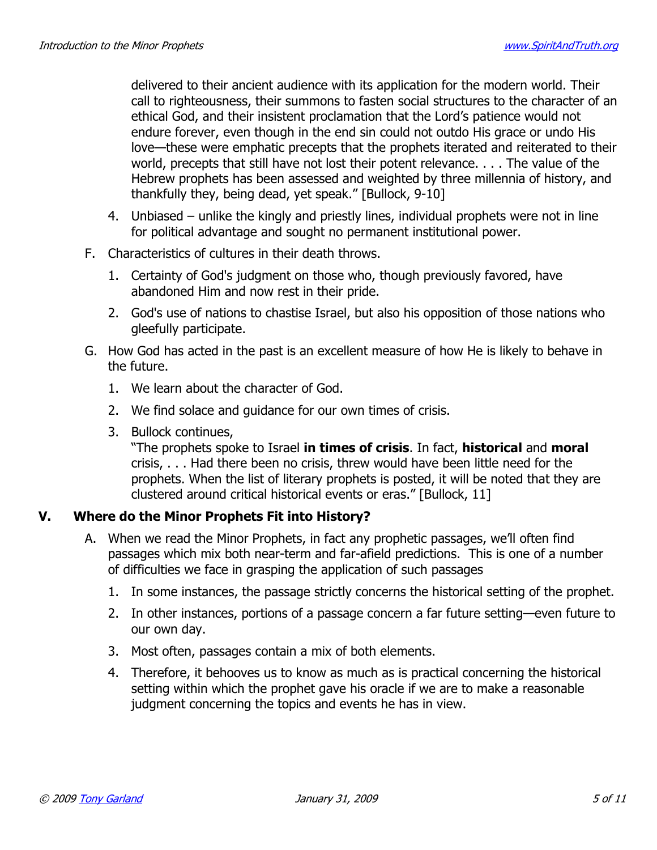delivered to their ancient audience with its application for the modern world. Their call to righteousness, their summons to fasten social structures to the character of an ethical God, and their insistent proclamation that the Lord's patience would not endure forever, even though in the end sin could not outdo His grace or undo His love—these were emphatic precepts that the prophets iterated and reiterated to their world, precepts that still have not lost their potent relevance. . . . The value of the Hebrew prophets has been assessed and weighted by three millennia of history, and thankfully they, being dead, yet speak." [Bullock, 9-10]

- 4. Unbiased unlike the kingly and priestly lines, individual prophets were not in line for political advantage and sought no permanent institutional power.
- F. Characteristics of cultures in their death throws.
	- 1. Certainty of God's judgment on those who, though previously favored, have abandoned Him and now rest in their pride.
	- 2. God's use of nations to chastise Israel, but also his opposition of those nations who gleefully participate.
- G. How God has acted in the past is an excellent measure of how He is likely to behave in the future.
	- 1. We learn about the character of God.
	- 2. We find solace and guidance for our own times of crisis.
	- 3. Bullock continues,

"The prophets spoke to Israel in times of crisis. In fact, historical and moral crisis, . . . Had there been no crisis, threw would have been little need for the prophets. When the list of literary prophets is posted, it will be noted that they are clustered around critical historical events or eras." [Bullock, 11]

#### Where do the Minor Prophets Fit into History?  $\mathbf{V}$ .

- A. When we read the Minor Prophets, in fact any prophetic passages, we'll often find passages which mix both near-term and far-afield predictions. This is one of a number of difficulties we face in grasping the application of such passages
	- 1. In some instances, the passage strictly concerns the historical setting of the prophet.
	- 2. In other instances, portions of a passage concern a far future setting—even future to our own day.
	- 3. Most often, passages contain a mix of both elements.
	- 4. Therefore, it behooves us to know as much as is practical concerning the historical setting within which the prophet gave his oracle if we are to make a reasonable judgment concerning the topics and events he has in view.